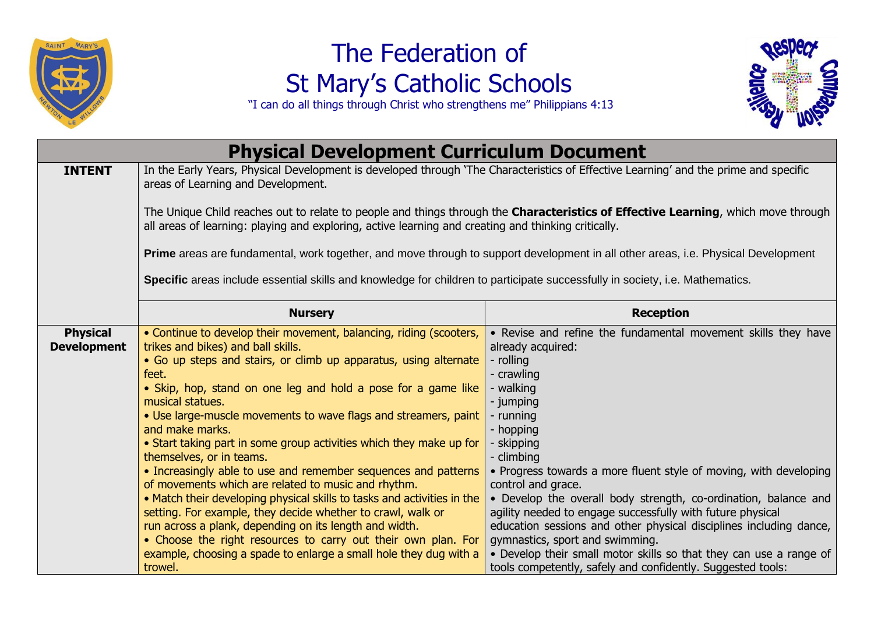

## The Federation of St Mary's Catholic Schools



"I can do all things through Christ who strengthens me" Philippians 4:13

| <b>Physical Development Curriculum Document</b> |                                                                                                                                                                                                                                                                                                                                                                                                                                                                                                                                                                                                                                                                                                                                                                                                                                                                                                                                                   |                                                                                                                                                                                                                                                                                                                                                                                                                                                                                                                                                                                                                                                                         |
|-------------------------------------------------|---------------------------------------------------------------------------------------------------------------------------------------------------------------------------------------------------------------------------------------------------------------------------------------------------------------------------------------------------------------------------------------------------------------------------------------------------------------------------------------------------------------------------------------------------------------------------------------------------------------------------------------------------------------------------------------------------------------------------------------------------------------------------------------------------------------------------------------------------------------------------------------------------------------------------------------------------|-------------------------------------------------------------------------------------------------------------------------------------------------------------------------------------------------------------------------------------------------------------------------------------------------------------------------------------------------------------------------------------------------------------------------------------------------------------------------------------------------------------------------------------------------------------------------------------------------------------------------------------------------------------------------|
| <b>INTENT</b>                                   | In the Early Years, Physical Development is developed through 'The Characteristics of Effective Learning' and the prime and specific<br>areas of Learning and Development.                                                                                                                                                                                                                                                                                                                                                                                                                                                                                                                                                                                                                                                                                                                                                                        |                                                                                                                                                                                                                                                                                                                                                                                                                                                                                                                                                                                                                                                                         |
|                                                 | The Unique Child reaches out to relate to people and things through the Characteristics of Effective Learning, which move through<br>all areas of learning: playing and exploring, active learning and creating and thinking critically.                                                                                                                                                                                                                                                                                                                                                                                                                                                                                                                                                                                                                                                                                                          |                                                                                                                                                                                                                                                                                                                                                                                                                                                                                                                                                                                                                                                                         |
|                                                 | Prime areas are fundamental, work together, and move through to support development in all other areas, i.e. Physical Development                                                                                                                                                                                                                                                                                                                                                                                                                                                                                                                                                                                                                                                                                                                                                                                                                 |                                                                                                                                                                                                                                                                                                                                                                                                                                                                                                                                                                                                                                                                         |
|                                                 | Specific areas include essential skills and knowledge for children to participate successfully in society, i.e. Mathematics.                                                                                                                                                                                                                                                                                                                                                                                                                                                                                                                                                                                                                                                                                                                                                                                                                      |                                                                                                                                                                                                                                                                                                                                                                                                                                                                                                                                                                                                                                                                         |
|                                                 | <b>Nursery</b>                                                                                                                                                                                                                                                                                                                                                                                                                                                                                                                                                                                                                                                                                                                                                                                                                                                                                                                                    | <b>Reception</b>                                                                                                                                                                                                                                                                                                                                                                                                                                                                                                                                                                                                                                                        |
| <b>Physical</b><br><b>Development</b>           | • Continue to develop their movement, balancing, riding (scooters,<br>trikes and bikes) and ball skills.<br>• Go up steps and stairs, or climb up apparatus, using alternate<br>feet.<br>• Skip, hop, stand on one leg and hold a pose for a game like<br>musical statues.<br>• Use large-muscle movements to wave flags and streamers, paint<br>and make marks.<br>• Start taking part in some group activities which they make up for<br>themselves, or in teams.<br>• Increasingly able to use and remember sequences and patterns<br>of movements which are related to music and rhythm.<br>• Match their developing physical skills to tasks and activities in the<br>setting. For example, they decide whether to crawl, walk or<br>run across a plank, depending on its length and width.<br>• Choose the right resources to carry out their own plan. For<br>example, choosing a spade to enlarge a small hole they dug with a<br>trowel. | • Revise and refine the fundamental movement skills they have<br>already acquired:<br>- rolling<br>- crawling<br>- walking<br>- jumping<br>- running<br>- hopping<br>- skipping<br>- climbing<br>• Progress towards a more fluent style of moving, with developing<br>control and grace.<br>• Develop the overall body strength, co-ordination, balance and<br>agility needed to engage successfully with future physical<br>education sessions and other physical disciplines including dance,<br>gymnastics, sport and swimming.<br>• Develop their small motor skills so that they can use a range of<br>tools competently, safely and confidently. Suggested tools: |